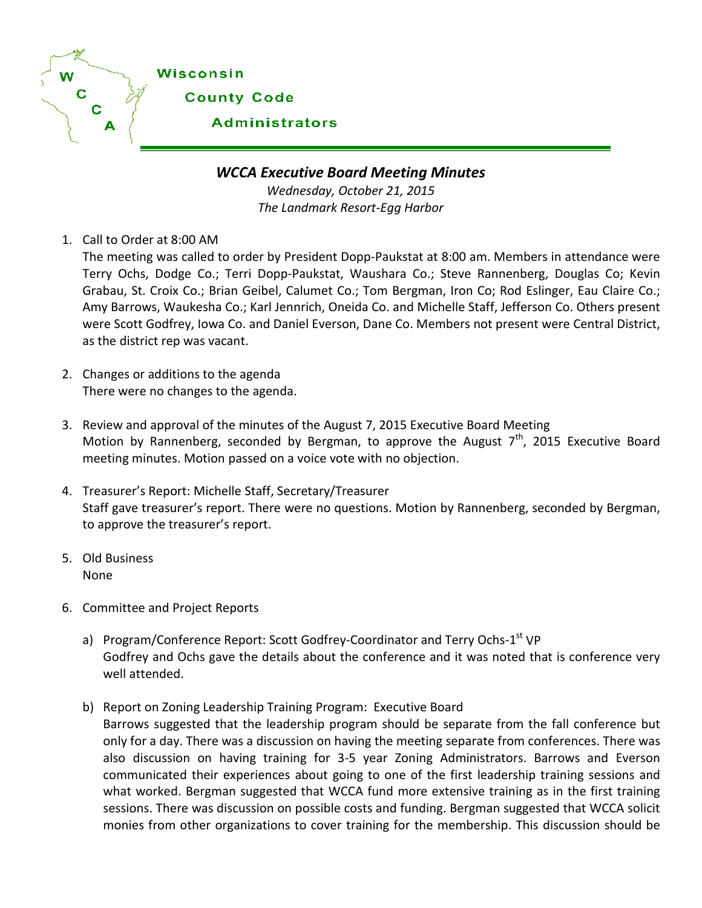

*WCCA Executive Board Meeting Minutes*

*Wednesday, October 21, 2015 The Landmark Resort-Egg Harbor*

1. Call to Order at 8:00 AM

The meeting was called to order by President Dopp-Paukstat at 8:00 am. Members in attendance were Terry Ochs, Dodge Co.; Terri Dopp-Paukstat, Waushara Co.; Steve Rannenberg, Douglas Co; Kevin Grabau, St. Croix Co.; Brian Geibel, Calumet Co.; Tom Bergman, Iron Co; Rod Eslinger, Eau Claire Co.; Amy Barrows, Waukesha Co.; Karl Jennrich, Oneida Co. and Michelle Staff, Jefferson Co. Others present were Scott Godfrey, Iowa Co. and Daniel Everson, Dane Co. Members not present were Central District, as the district rep was vacant.

- 2. Changes or additions to the agenda There were no changes to the agenda.
- 3. Review and approval of the minutes of the August 7, 2015 Executive Board Meeting Motion by Rannenberg, seconded by Bergman, to approve the August  $7<sup>th</sup>$ , 2015 Executive Board meeting minutes. Motion passed on a voice vote with no objection.
- 4. Treasurer's Report: Michelle Staff, Secretary/Treasurer Staff gave treasurer's report. There were no questions. Motion by Rannenberg, seconded by Bergman, to approve the treasurer's report.
- 5. Old Business None
- 6. Committee and Project Reports
	- a) Program/Conference Report: Scott Godfrey-Coordinator and Terry Ochs-1<sup>st</sup> VP Godfrey and Ochs gave the details about the conference and it was noted that is conference very well attended.
	- b) Report on Zoning Leadership Training Program: Executive Board Barrows suggested that the leadership program should be separate from the fall conference but only for a day. There was a discussion on having the meeting separate from conferences. There was also discussion on having training for 3-5 year Zoning Administrators. Barrows and Everson communicated their experiences about going to one of the first leadership training sessions and what worked. Bergman suggested that WCCA fund more extensive training as in the first training sessions. There was discussion on possible costs and funding. Bergman suggested that WCCA solicit monies from other organizations to cover training for the membership. This discussion should be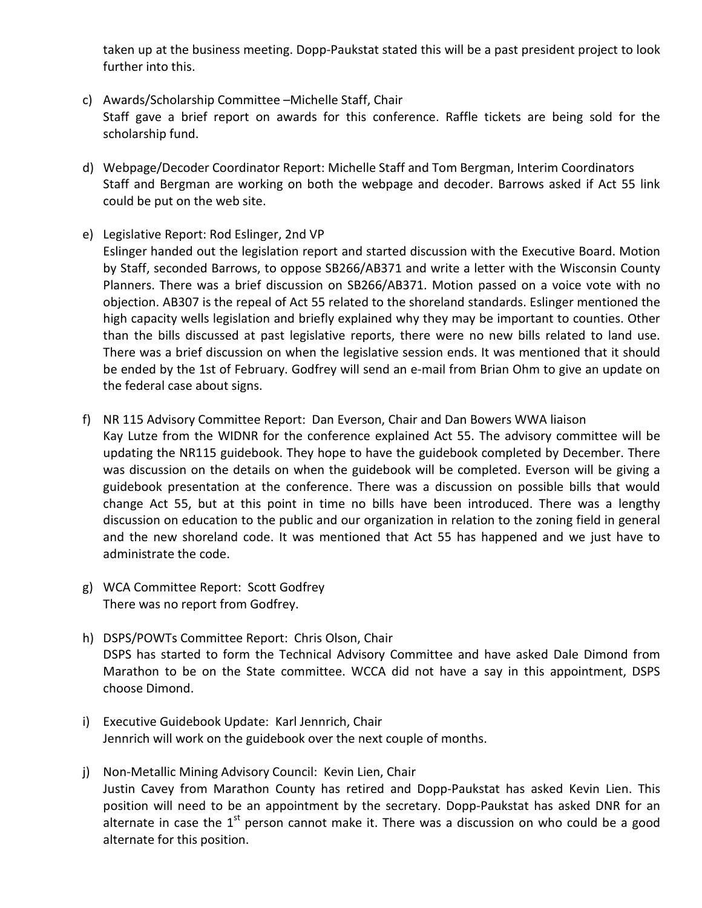taken up at the business meeting. Dopp-Paukstat stated this will be a past president project to look further into this.

- c) Awards/Scholarship Committee –Michelle Staff, Chair Staff gave a brief report on awards for this conference. Raffle tickets are being sold for the scholarship fund.
- d) Webpage/Decoder Coordinator Report: Michelle Staff and Tom Bergman, Interim Coordinators Staff and Bergman are working on both the webpage and decoder. Barrows asked if Act 55 link could be put on the web site.
- e) Legislative Report: Rod Eslinger, 2nd VP

Eslinger handed out the legislation report and started discussion with the Executive Board. Motion by Staff, seconded Barrows, to oppose SB266/AB371 and write a letter with the Wisconsin County Planners. There was a brief discussion on SB266/AB371. Motion passed on a voice vote with no objection. AB307 is the repeal of Act 55 related to the shoreland standards. Eslinger mentioned the high capacity wells legislation and briefly explained why they may be important to counties. Other than the bills discussed at past legislative reports, there were no new bills related to land use. There was a brief discussion on when the legislative session ends. It was mentioned that it should be ended by the 1st of February. Godfrey will send an e-mail from Brian Ohm to give an update on the federal case about signs.

- f) NR 115 Advisory Committee Report: Dan Everson, Chair and Dan Bowers WWA liaison Kay Lutze from the WIDNR for the conference explained Act 55. The advisory committee will be updating the NR115 guidebook. They hope to have the guidebook completed by December. There was discussion on the details on when the guidebook will be completed. Everson will be giving a guidebook presentation at the conference. There was a discussion on possible bills that would change Act 55, but at this point in time no bills have been introduced. There was a lengthy discussion on education to the public and our organization in relation to the zoning field in general and the new shoreland code. It was mentioned that Act 55 has happened and we just have to administrate the code.
- g) WCA Committee Report: Scott Godfrey There was no report from Godfrey.
- h) DSPS/POWTs Committee Report: Chris Olson, Chair DSPS has started to form the Technical Advisory Committee and have asked Dale Dimond from Marathon to be on the State committee. WCCA did not have a say in this appointment, DSPS choose Dimond.
- i) Executive Guidebook Update: Karl Jennrich, Chair Jennrich will work on the guidebook over the next couple of months.
- j) Non-Metallic Mining Advisory Council: Kevin Lien, Chair Justin Cavey from Marathon County has retired and Dopp-Paukstat has asked Kevin Lien. This position will need to be an appointment by the secretary. Dopp-Paukstat has asked DNR for an alternate in case the  $1<sup>st</sup>$  person cannot make it. There was a discussion on who could be a good alternate for this position.